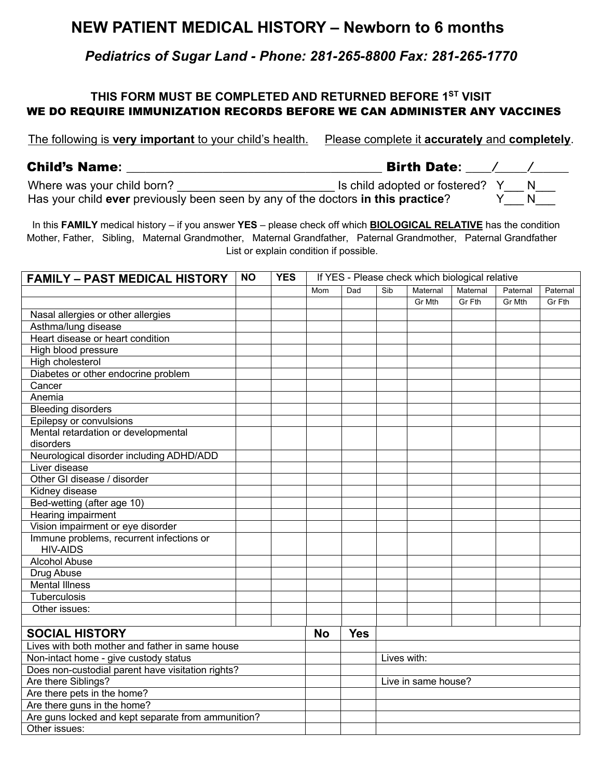## **NEW PATIENT MEDICAL HISTORY – Newborn to 6 months**

*Pediatrics of Sugar Land - Phone: 281-265-8800 Fax: 281-265-1770*

## **THIS FORM MUST BE COMPLETED AND RETURNED BEFORE 1ST VISIT** WE DO REQUIRE IMMUNIZATION RECORDS BEFORE WE CAN ADMINISTER ANY VACCINES

The following is **very important** to your child's health. Please complete it **accurately** and **completely**.

| <b>Child's Name:</b>       | <b>Birth Date:</b>                      |
|----------------------------|-----------------------------------------|
| Where was your child born? | Is child adopted or fostered? $\lambda$ |

Has your child **ever** previously been seen by any of the doctors **in this practice**? Y\_\_\_ N\_\_\_

 In this **FAMILY** medical history – if you answer **YES** – please check off which **BIOLOGICAL RELATIVE** has the condition Mother, Father, Sibling, Maternal Grandmother, Maternal Grandfather, Paternal Grandmother, Paternal Grandfather List or explain condition if possible.

| <b>FAMILY - PAST MEDICAL HISTORY</b>                        | <b>NO</b> | <b>YES</b> | If YES - Please check which biological relative |            |                     |          |          |          |          |
|-------------------------------------------------------------|-----------|------------|-------------------------------------------------|------------|---------------------|----------|----------|----------|----------|
|                                                             |           |            | Mom                                             | Dad        | Sib                 | Maternal | Maternal | Paternal | Paternal |
|                                                             |           |            |                                                 |            |                     | Gr Mth   | Gr Fth   | Gr Mth   | Gr Fth   |
| Nasal allergies or other allergies                          |           |            |                                                 |            |                     |          |          |          |          |
| Asthma/lung disease                                         |           |            |                                                 |            |                     |          |          |          |          |
| Heart disease or heart condition                            |           |            |                                                 |            |                     |          |          |          |          |
| High blood pressure                                         |           |            |                                                 |            |                     |          |          |          |          |
| High cholesterol                                            |           |            |                                                 |            |                     |          |          |          |          |
| Diabetes or other endocrine problem                         |           |            |                                                 |            |                     |          |          |          |          |
| Cancer                                                      |           |            |                                                 |            |                     |          |          |          |          |
| Anemia                                                      |           |            |                                                 |            |                     |          |          |          |          |
| <b>Bleeding disorders</b>                                   |           |            |                                                 |            |                     |          |          |          |          |
| Epilepsy or convulsions                                     |           |            |                                                 |            |                     |          |          |          |          |
| Mental retardation or developmental                         |           |            |                                                 |            |                     |          |          |          |          |
| disorders                                                   |           |            |                                                 |            |                     |          |          |          |          |
| Neurological disorder including ADHD/ADD                    |           |            |                                                 |            |                     |          |          |          |          |
| Liver disease                                               |           |            |                                                 |            |                     |          |          |          |          |
| Other GI disease / disorder                                 |           |            |                                                 |            |                     |          |          |          |          |
| Kidney disease                                              |           |            |                                                 |            |                     |          |          |          |          |
| Bed-wetting (after age 10)                                  |           |            |                                                 |            |                     |          |          |          |          |
| Hearing impairment                                          |           |            |                                                 |            |                     |          |          |          |          |
| Vision impairment or eye disorder                           |           |            |                                                 |            |                     |          |          |          |          |
| Immune problems, recurrent infections or<br><b>HIV-AIDS</b> |           |            |                                                 |            |                     |          |          |          |          |
| <b>Alcohol Abuse</b>                                        |           |            |                                                 |            |                     |          |          |          |          |
| Drug Abuse                                                  |           |            |                                                 |            |                     |          |          |          |          |
| <b>Mental Illness</b>                                       |           |            |                                                 |            |                     |          |          |          |          |
| Tuberculosis                                                |           |            |                                                 |            |                     |          |          |          |          |
| Other issues:                                               |           |            |                                                 |            |                     |          |          |          |          |
|                                                             |           |            |                                                 |            |                     |          |          |          |          |
| <b>SOCIAL HISTORY</b>                                       |           |            | <b>No</b>                                       | <b>Yes</b> |                     |          |          |          |          |
| Lives with both mother and father in same house             |           |            |                                                 |            |                     |          |          |          |          |
| Non-intact home - give custody status                       |           |            |                                                 |            | Lives with:         |          |          |          |          |
| Does non-custodial parent have visitation rights?           |           |            |                                                 |            |                     |          |          |          |          |
| Are there Siblings?                                         |           |            |                                                 |            | Live in same house? |          |          |          |          |
| Are there pets in the home?                                 |           |            |                                                 |            |                     |          |          |          |          |
| Are there guns in the home?                                 |           |            |                                                 |            |                     |          |          |          |          |
| Are guns locked and kept separate from ammunition?          |           |            |                                                 |            |                     |          |          |          |          |
| Other issues:                                               |           |            |                                                 |            |                     |          |          |          |          |